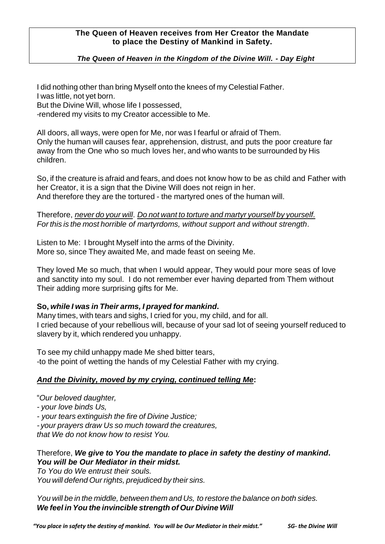# **The Queen of Heaven receives from Her Creator the Mandate to place the Destiny of Mankind in Safety.**

# *The Queen of Heaven in the Kingdom of the Divine Will. - Day Eight*

I did nothing other than bring Myself onto the knees of my Celestial Father. I was little, not yet born. But the Divine Will, whose life I possessed,

-rendered my visits to my Creator accessible to Me.

All doors, all ways, were open for Me, nor was I fearful or afraid of Them. Only the human will causes fear, apprehension, distrust, and puts the poor creature far away from the One who so much loves her, and who wants to be surrounded by His children.

So, if the creature is afraid and fears, and does not know how to be as child and Father with her Creator, it is a sign that the Divine Will does not reign in her. And therefore they are the tortured - the martyred ones of the human will.

# Therefore, *never do your will*. *Do not want to torture and martyr yourself by yourself. For this is the most horrible of martyrdoms, without support and without strength*.

Listen to Me: I brought Myself into the arms of the Divinity. More so, since They awaited Me, and made feast on seeing Me.

They loved Me so much, that when I would appear, They would pour more seas of love and sanctity into my soul. I do not remember ever having departed from Them without Their adding more surprising gifts for Me.

# **So,** *while I was in Their arms, I prayed for mankind***.**

Many times, with tears and sighs, I cried for you, my child, and for all. I cried because of your rebellious will, because of your sad lot of seeing yourself reduced to slavery by it, which rendered you unhappy.

To see my child unhappy made Me shed bitter tears, -to the point of wetting the hands of my Celestial Father with my crying.

# *And the Divinity, moved by my crying, continued telling Me***:**

"*Our beloved daughter,*

*- your love binds Us,*

*- your tears extinguish the fire of Divine Justice;*

*- your prayers draw Us so much toward the creatures,* 

*that We do not know how to resist You.*

# Therefore, *We give to You the mandate to place in safety the destiny of mankind***.** *You will be Our Mediator in their midst.*

*To You do We entrust their souls. You will defend Our rights, prejudiced by their sins.*

*You will be in the middle, between them and Us, to restore the balance on both sides. We feel in You the invincible strength of Our Divine Will*